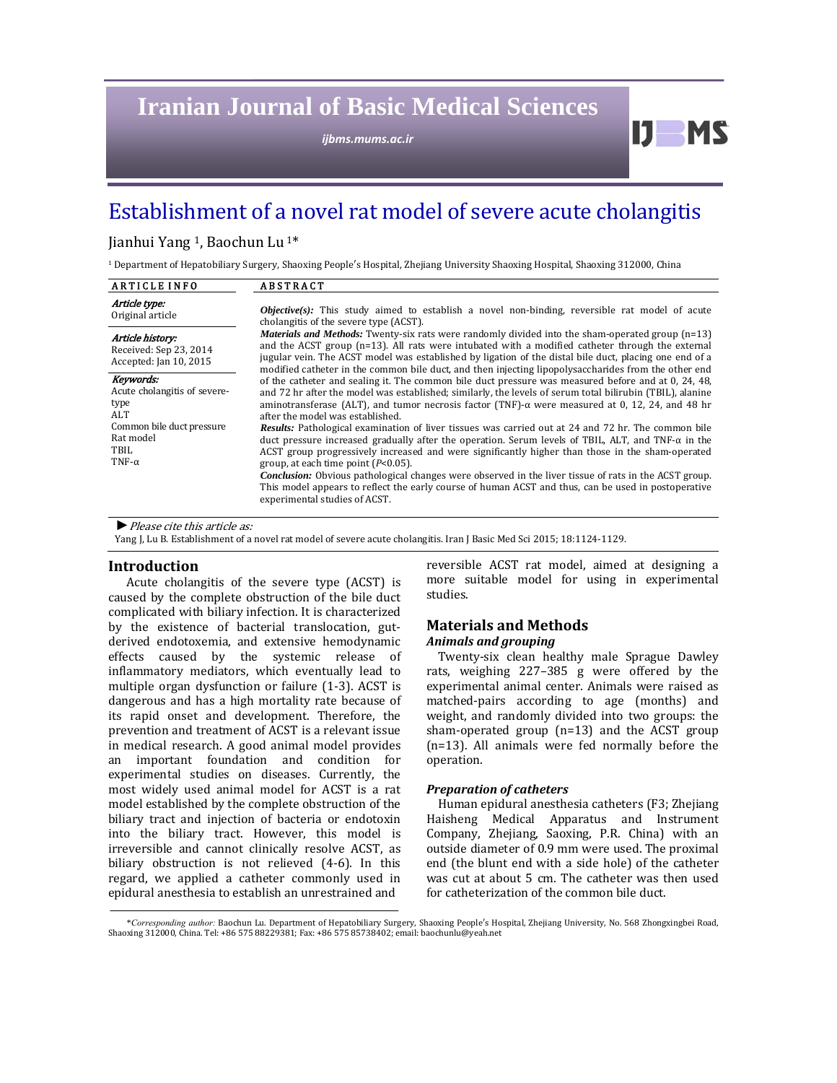# **Iranian Journal of Basic Medical Sciences**

*ijbms.mums.ac.ir*

## Establishment of a novel rat model of severe acute cholangitis

#### Jianhui Yang <sup>1</sup>, Baochun Lu<sup>1\*</sup>

<sup>1</sup> Department of Hepatobiliary Surgery, Shaoxing People's Hospital, Zhejiang University Shaoxing Hospital, Shaoxing 312000, China

| <b>ARTICLE INFO</b>                                                                                                          | <b>ABSTRACT</b>                                                                                                                                                                                                                                                                                                                                                                                                                                                                                                                                                                                                                                                                                                                                                                                                                                                                                                                                                                                  |  |  |  |  |  |
|------------------------------------------------------------------------------------------------------------------------------|--------------------------------------------------------------------------------------------------------------------------------------------------------------------------------------------------------------------------------------------------------------------------------------------------------------------------------------------------------------------------------------------------------------------------------------------------------------------------------------------------------------------------------------------------------------------------------------------------------------------------------------------------------------------------------------------------------------------------------------------------------------------------------------------------------------------------------------------------------------------------------------------------------------------------------------------------------------------------------------------------|--|--|--|--|--|
| Article type:<br>Original article                                                                                            | <b>Objective</b> (s): This study aimed to establish a novel non-binding, reversible rat model of acute<br>cholangitis of the severe type (ACST).<br><i>Materials and Methods:</i> Twenty-six rats were randomly divided into the sham-operated group $(n=13)$<br>and the ACST group $(n=13)$ . All rats were intubated with a modified catheter through the external<br>jugular vein. The ACST model was established by ligation of the distal bile duct, placing one end of a<br>modified catheter in the common bile duct, and then injecting lipopolysaccharides from the other end                                                                                                                                                                                                                                                                                                                                                                                                           |  |  |  |  |  |
| Article history:<br>Received: Sep 23, 2014<br>Accepted: Jan 10, 2015                                                         |                                                                                                                                                                                                                                                                                                                                                                                                                                                                                                                                                                                                                                                                                                                                                                                                                                                                                                                                                                                                  |  |  |  |  |  |
| Kevwords:<br>Acute cholangitis of severe-<br>type<br>ALT<br>Common bile duct pressure<br>Rat model<br>TBIL.<br>TNF- $\alpha$ | of the catheter and sealing it. The common bile duct pressure was measured before and at 0, 24, 48.<br>and 72 hr after the model was established; similarly, the levels of serum total bilirubin (TBIL), alanine<br>aminotransferase (ALT), and tumor necrosis factor (TNF)- $\alpha$ were measured at 0, 12, 24, and 48 hr<br>after the model was established.<br><b>Results:</b> Pathological examination of liver tissues was carried out at 24 and 72 hr. The common bile<br>duct pressure increased gradually after the operation. Serum levels of TBIL, ALT, and $TNF-\alpha$ in the<br>ACST group progressively increased and were significantly higher than those in the sham-operated<br>group, at each time point $(P<0.05)$ .<br><i>Conclusion:</i> Obvious pathological changes were observed in the liver tissue of rats in the ACST group.<br>This model appears to reflect the early course of human ACST and thus, can be used in postoperative<br>experimental studies of ACST. |  |  |  |  |  |

▶ *Please cite this article as:* 

Yang J, Lu B. Establishment of a novel rat model of severe acute cholangitis. Iran J Basic Med Sci 2015; 18:1124-1129.

#### **Introduction**

Acute cholangitis of the severe type (ACST) is caused by the complete obstruction of the bile duct complicated with biliary infection. It is characterized by the existence of bacterial translocation, gutderived endotoxemia, and extensive hemodynamic effects caused by the systemic release of inflammatory mediators, which eventually lead to multiple organ dysfunction or failure (1-3). ACST is dangerous and has a high mortality rate because of its rapid onset and development. Therefore, the prevention and treatment of ACST is a relevant issue in medical research. A good animal model provides an important foundation and condition for experimental studies on diseases. Currently, the most widely used animal model for ACST is a rat model established by the complete obstruction of the biliary tract and injection of bacteria or endotoxin into the biliary tract. However, this model is irreversible and cannot clinically resolve ACST, as biliary obstruction is not relieved (4-6). In this regard, we applied a catheter commonly used in epidural anesthesia to establish an unrestrained and

reversible ACST rat model, aimed at designing a more suitable model for using in experimental studies. 

 $IJ$  MS

## **Materials and Methods**

## *Animals and grouping*

Twenty-six clean healthy male Sprague Dawley rats, weighing 227-385 g were offered by the experimental animal center. Animals were raised as matched-pairs according to age (months) and weight, and randomly divided into two groups: the sham-operated group  $(n=13)$  and the ACST group  $(n=13)$ . All animals were fed normally before the operation. 

#### *Preparation of catheters*

Human epidural anesthesia catheters (F3; Zhejiang Haisheng Medical Apparatus and Instrument Company, Zhejiang, Saoxing, P.R. China) with an outside diameter of 0.9 mm were used. The proximal end (the blunt end with a side hole) of the catheter was cut at about 5 cm. The catheter was then used for catheterization of the common bile duct.

<sup>\*</sup>*Corresponding author:* Baochun Lu. Department of Hepatobiliary Surgery, Shaoxing People′s Hospital, Zhejiang University, No. 568 Zhongxingbei Road, Shaoxing 312000, China. Tel: +86 575 88229381; Fax: +86 575 85738402; email: baochunlu@yeah.net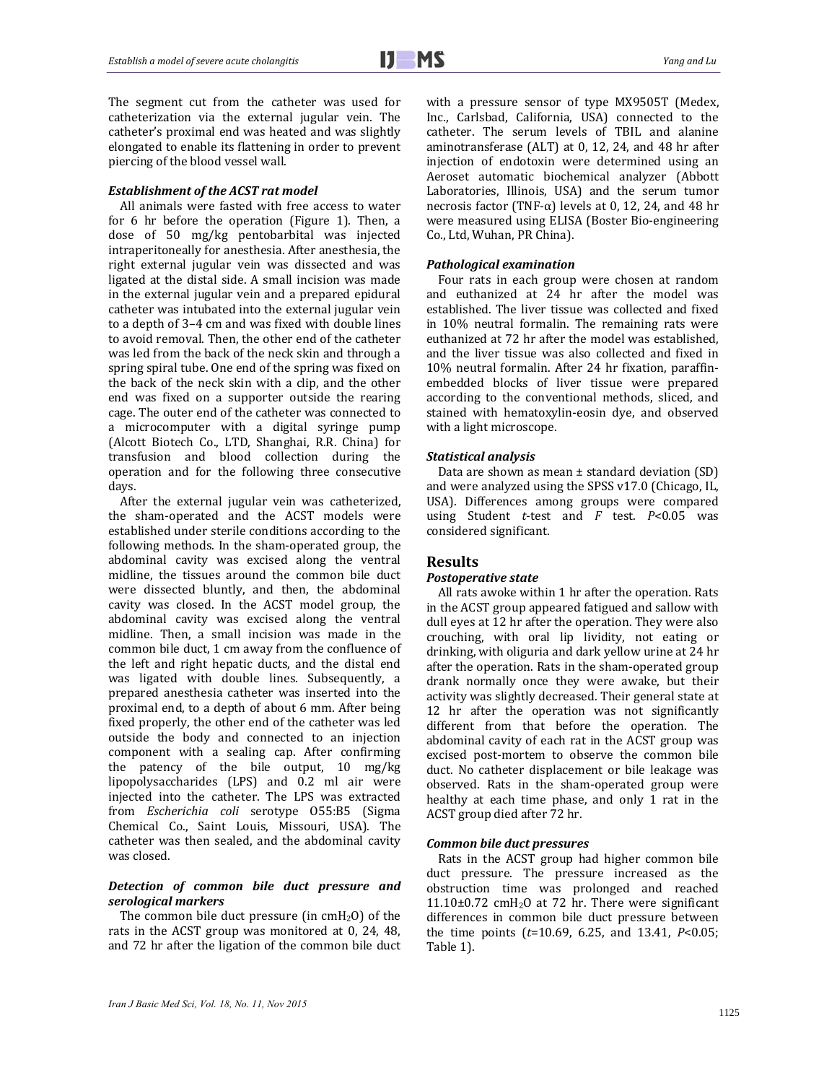The segment cut from the catheter was used for catheterization via the external jugular vein. The catheter's proximal end was heated and was slightly elongated to enable its flattening in order to prevent piercing of the blood vessel wall.

#### *Establishment of the ACST rat model*

All animals were fasted with free access to water for  $6$  hr before the operation (Figure 1). Then, a dose of 50 mg/kg pentobarbital was injected intraperitoneally for anesthesia. After anesthesia, the right external jugular vein was dissected and was ligated at the distal side. A small incision was made in the external jugular vein and a prepared epidural catheter was intubated into the external jugular vein to a depth of 3-4 cm and was fixed with double lines to avoid removal. Then, the other end of the catheter was led from the back of the neck skin and through a spring spiral tube. One end of the spring was fixed on the back of the neck skin with a clip, and the other end was fixed on a supporter outside the rearing cage. The outer end of the catheter was connected to a microcomputer with a digital syringe pump (Alcott Biotech Co., LTD, Shanghai, R.R. China) for transfusion and blood collection during the operation and for the following three consecutive days.

After the external jugular vein was catheterized, the sham-operated and the ACST models were established under sterile conditions according to the following methods. In the sham-operated group, the abdominal cavity was excised along the ventral midline, the tissues around the common bile duct were dissected bluntly, and then, the abdominal cavity was closed. In the ACST model group, the abdominal cavity was excised along the ventral midline. Then, a small incision was made in the common bile duct, 1 cm away from the confluence of the left and right hepatic ducts, and the distal end was ligated with double lines. Subsequently, a prepared anesthesia catheter was inserted into the proximal end, to a depth of about 6 mm. After being fixed properly, the other end of the catheter was led outside the body and connected to an injection component with a sealing cap. After confirming the patency of the bile output,  $10$  mg/kg lipopolysaccharides (LPS) and 0.2 ml air were injected into the catheter. The LPS was extracted from *Escherichia coli* serotype O55:B5 (Sigma Chemical Co., Saint Louis, Missouri, USA). The catheter was then sealed, and the abdominal cavity was closed.

#### *Detection of common bile duct pressure and serological markers*

The common bile duct pressure (in  $cmH<sub>2</sub>O$ ) of the rats in the ACST group was monitored at  $0$ , 24, 48, and 72 hr after the ligation of the common bile duct with a pressure sensor of type MX9505T (Medex, Inc., Carlsbad, California, USA) connected to the catheter. The serum levels of TBIL and alanine aminotransferase (ALT) at 0, 12, 24, and 48 hr after injection of endotoxin were determined using an Aeroset automatic biochemical analyzer (Abbott Laboratories, Illinois, USA) and the serum tumor necrosis factor (TNF- $\alpha$ ) levels at 0, 12, 24, and 48 hr were measured using ELISA (Boster Bio-engineering Co., Ltd, Wuhan, PR China).

#### *Pathological examination*

Four rats in each group were chosen at random and euthanized at 24 hr after the model was established. The liver tissue was collected and fixed in  $10\%$  neutral formalin. The remaining rats were euthanized at 72 hr after the model was established, and the liver tissue was also collected and fixed in 10% neutral formalin. After 24 hr fixation, paraffinembedded blocks of liver tissue were prepared according to the conventional methods, sliced, and stained with hematoxylin-eosin dye, and observed with a light microscope.

#### *Statistical analysis*

Data are shown as mean  $\pm$  standard deviation (SD) and were analyzed using the SPSS  $v17.0$  (Chicago, IL, USA). Differences among groups were compared using Student *t*-test and *F* test. *P*<0.05 was considered significant.

#### **Results**

#### *Postoperative state*

All rats awoke within 1 hr after the operation. Rats in the ACST group appeared fatigued and sallow with dull eyes at 12 hr after the operation. They were also crouching, with oral lip lividity, not eating or drinking, with oliguria and dark yellow urine at 24 hr after the operation. Rats in the sham-operated group drank normally once they were awake, but their activity was slightly decreased. Their general state at 12 hr after the operation was not significantly different from that before the operation. The abdominal cavity of each rat in the ACST group was excised post-mortem to observe the common bile duct. No catheter displacement or bile leakage was observed. Rats in the sham-operated group were healthy at each time phase, and only 1 rat in the ACST group died after 72 hr.

#### *Common bile duct pressures*

Rats in the ACST group had higher common bile duct pressure. The pressure increased as the obstruction time was prolonged and reached  $11.10\pm0.72$  cmH<sub>2</sub>O at 72 hr. There were significant differences in common bile duct pressure between the time points  $(t=10.69, 6.25,$  and  $13.41, P<0.05;$ Table 1).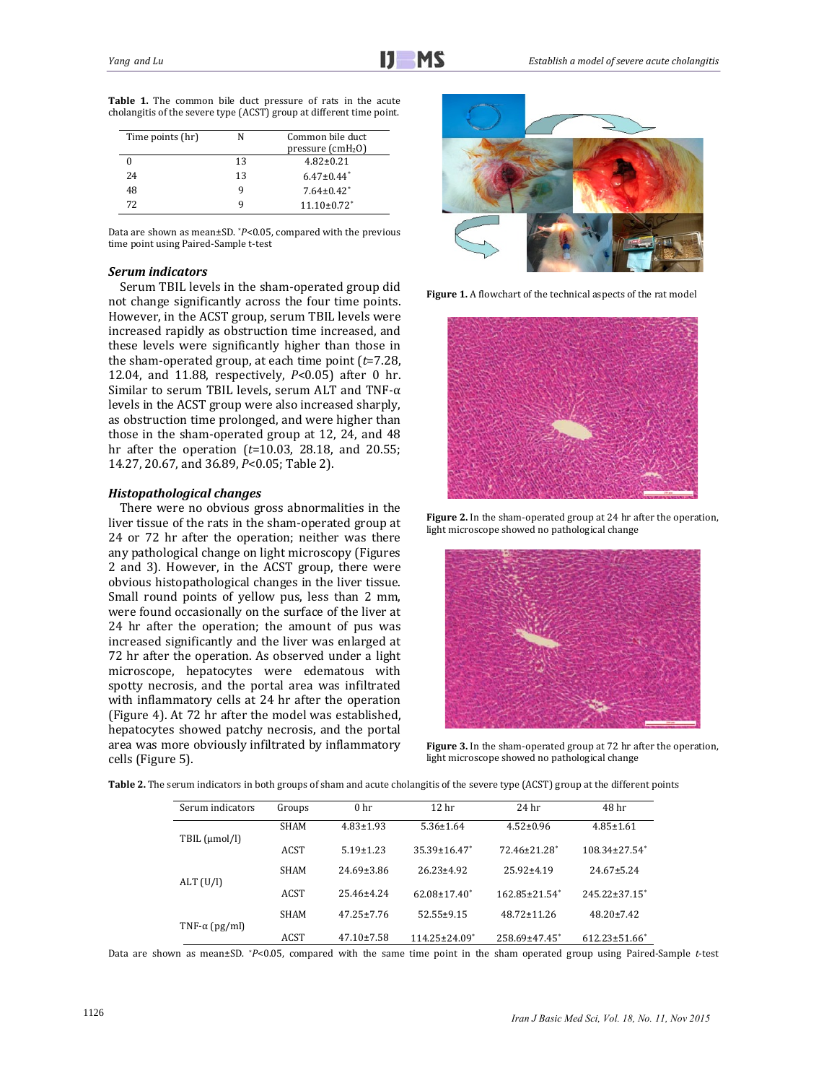| Time points (hr) |    | Common bile duct<br>pressure $(cmH2O)$ |
|------------------|----|----------------------------------------|
|                  | 13 | $4.82 \pm 0.21$                        |
| 24               | 13 | $6.47 \pm 0.44$ <sup>*</sup>           |
| 48               |    | $7.64 \pm 0.42^*$                      |
| 72               |    | $11.10 \pm 0.72$ <sup>*</sup>          |

**Table 1.** The common bile duct pressure of rats in the acute cholangitis of the severe type  $(ACST)$  group at different time point.

Data are shown as mean±SD. *\*P<0.05*, compared with the previous time point using Paired-Sample t-test

#### *Serum indicators*

Serum TBIL levels in the sham-operated group did not change significantly across the four time points. However, in the ACST group, serum TBIL levels were increased rapidly as obstruction time increased, and these levels were significantly higher than those in the sham-operated group, at each time point  $(t=7.28)$ , 12.04, and 11.88, respectively, *P*<0.05) after 0 hr. Similar to serum TBIL levels, serum ALT and TNF- $\alpha$ levels in the ACST group were also increased sharply, as obstruction time prolonged, and were higher than those in the sham-operated group at  $12$ ,  $24$ , and  $48$ hr after the operation (*t*=10.03, 28.18, and 20.55; 14.27, 20.67, and 36.89, *P*<0.05; Table 2).

#### *Histopathological changes*

There were no obvious gross abnormalities in the liver tissue of the rats in the sham-operated group at 24 or 72 hr after the operation; neither was there any pathological change on light microscopy (Figures 2 and 3). However, in the ACST group, there were obvious histopathological changes in the liver tissue. Small round points of yellow pus, less than 2 mm, were found occasionally on the surface of the liver at 24 hr after the operation; the amount of pus was increased significantly and the liver was enlarged at 72 hr after the operation. As observed under a light microscope, hepatocytes were edematous with spotty necrosis, and the portal area was infiltrated with inflammatory cells at 24 hr after the operation (Figure 4). At 72 hr after the model was established, hepatocytes showed patchy necrosis, and the portal area was more obviously infiltrated by inflammatory cells (Figure 5).



Figure 1. A flowchart of the technical aspects of the rat model



**Figure 2.** In the sham-operated group at 24 hr after the operation, light microscope showed no pathological change



Figure 3. In the sham-operated group at 72 hr after the operation, light microscope showed no pathological change

| Serum indicators      | Groups      | 0 <sub>hr</sub>  | 12 <sub>hr</sub>    | 24 hr                           | 48 <sub>hr</sub>                |
|-----------------------|-------------|------------------|---------------------|---------------------------------|---------------------------------|
| TBIL (µmol/l)         | <b>SHAM</b> | $4.83 \pm 1.93$  | $5.36 \pm 1.64$     | $4.52 \pm 0.96$                 | $4.85 \pm 1.61$                 |
|                       | <b>ACST</b> | $5.19 \pm 1.23$  | $35.39 \pm 16.47$ * | 72.46±21.28 <sup>*</sup>        | $108.34 \pm 27.54$ <sup>*</sup> |
| ALT (U/I)             | <b>SHAM</b> | $24.69 \pm 3.86$ | $26.23 \pm 4.92$    | $25.92 \pm 4.19$                | $24.67 \pm 5.24$                |
|                       | <b>ACST</b> | $25.46 \pm 4.24$ | $62.08 \pm 17.40^*$ | $162.85 \pm 21.54$ <sup>*</sup> | $245.22 \pm 37.15$ <sup>*</sup> |
| TNF- $\alpha$ (pg/ml) | <b>SHAM</b> | $47.25 \pm 7.76$ | $52.55 \pm 9.15$    | 48.72±11.26                     | $48.20 \pm 7.42$                |
|                       | <b>ACST</b> | $47.10 \pm 7.58$ | 114.25±24.09*       | 258.69±47.45 <sup>*</sup>       | $612.23 \pm 51.66$ <sup>*</sup> |

Data are shown as mean±SD. *\*P<0.05*, compared with the same time point in the sham operated group using Paired-Sample *t*-test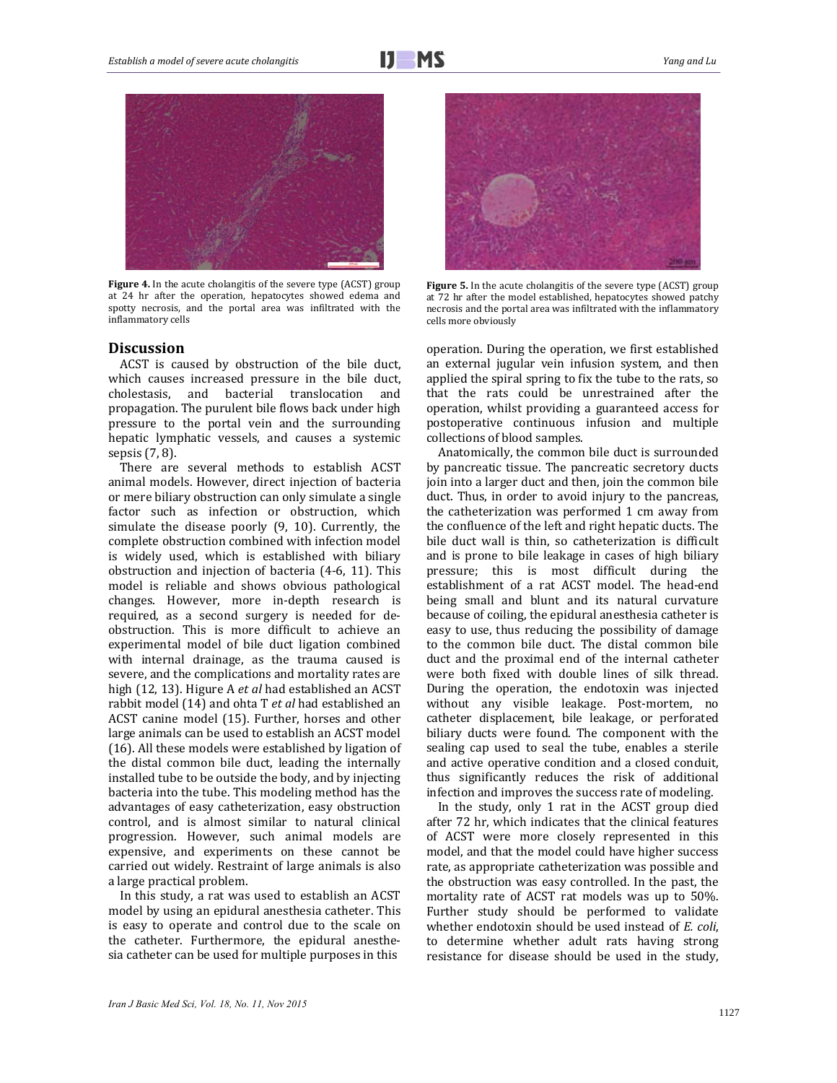

Figure 4. In the acute cholangitis of the severe type (ACST) group at 24 hr after the operation, hepatocytes showed edema and spotty necrosis, and the portal area was infiltrated with the inflammatory cells 

#### **Discussion**

ACST is caused by obstruction of the bile duct, which causes increased pressure in the bile duct, cholestasis, and bacterial translocation and propagation. The purulent bile flows back under high pressure to the portal vein and the surrounding hepatic lymphatic vessels, and causes a systemic sepsis  $(7, 8)$ .

There are several methods to establish ACST animal models. However, direct injection of bacteria or mere biliary obstruction can only simulate a single factor such as infection or obstruction, which simulate the disease poorly  $(9, 10)$ . Currently, the complete obstruction combined with infection model is widely used, which is established with biliary obstruction and injection of bacteria  $(4-6, 11)$ . This model is reliable and shows obvious pathological changes. However, more in-depth research is required, as a second surgery is needed for deobstruction. This is more difficult to achieve an experimental model of bile duct ligation combined with internal drainage, as the trauma caused is severe, and the complications and mortality rates are high (12, 13). Higure A *et al* had established an ACST rabbit model (14) and ohta T *et al* had established an ACST canine model (15). Further, horses and other large animals can be used to establish an ACST model (16). All these models were established by ligation of the distal common bile duct, leading the internally installed tube to be outside the body, and by injecting bacteria into the tube. This modeling method has the advantages of easy catheterization, easy obstruction control, and is almost similar to natural clinical progression. However, such animal models are expensive, and experiments on these cannot be carried out widely. Restraint of large animals is also a large practical problem.

In this study, a rat was used to establish an ACST model by using an epidural anesthesia catheter. This is easy to operate and control due to the scale on the catheter. Furthermore, the epidural anesthesia catheter can be used for multiple purposes in this



**Figure** 5. In the acute cholangitis of the severe type (ACST) group at 72 hr after the model established, hepatocytes showed patchy necrosis and the portal area was infiltrated with the inflammatory cells more obviously

operation. During the operation, we first established an external jugular vein infusion system, and then applied the spiral spring to fix the tube to the rats, so that the rats could be unrestrained after the operation, whilst providing a guaranteed access for postoperative continuous infusion and multiple collections of blood samples.

Anatomically, the common bile duct is surrounded by pancreatic tissue. The pancreatic secretory ducts join into a larger duct and then, join the common bile duct. Thus, in order to avoid injury to the pancreas, the catheterization was performed 1 cm away from the confluence of the left and right hepatic ducts. The bile duct wall is thin, so catheterization is difficult and is prone to bile leakage in cases of high biliary pressure; this is most difficult during the establishment of a rat ACST model. The head-end being small and blunt and its natural curvature because of coiling, the epidural anesthesia catheter is easy to use, thus reducing the possibility of damage to the common bile duct. The distal common bile duct and the proximal end of the internal catheter were both fixed with double lines of silk thread. During the operation, the endotoxin was injected without any visible leakage. Post-mortem, no catheter displacement, bile leakage, or perforated biliary ducts were found. The component with the sealing cap used to seal the tube, enables a sterile and active operative condition and a closed conduit, thus significantly reduces the risk of additional infection and improves the success rate of modeling.

In the study, only 1 rat in the ACST group died after 72 hr, which indicates that the clinical features of ACST were more closely represented in this model, and that the model could have higher success rate, as appropriate catheterization was possible and the obstruction was easy controlled. In the past, the mortality rate of ACST rat models was up to 50%. Further study should be performed to validate whether endotoxin should be used instead of *E. coli*, to determine whether adult rats having strong resistance for disease should be used in the study,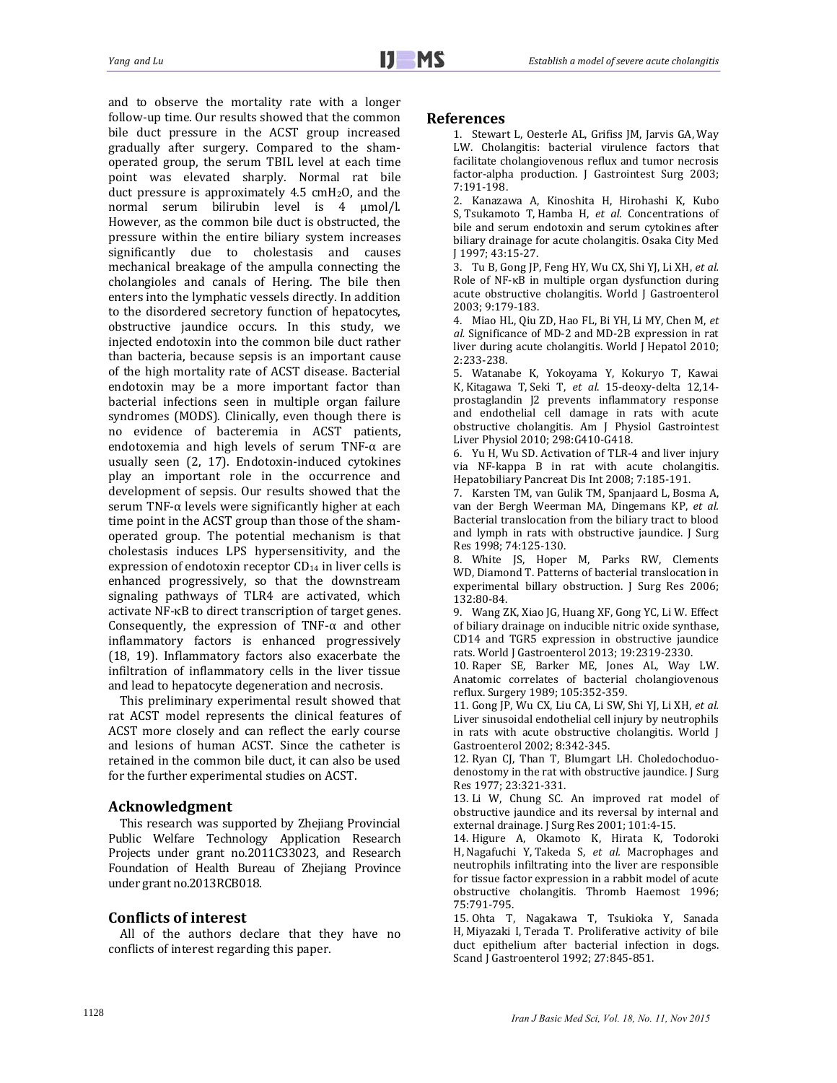and to observe the mortality rate with a longer follow-up time. Our results showed that the common bile duct pressure in the ACST group increased gradually after surgery. Compared to the shamoperated group, the serum TBIL level at each time point was elevated sharply. Normal rat bile duct pressure is approximately  $4.5 \text{ cm}H_2O$ , and the normal serum bilirubin level is 4  $\mu$ mol/l. However, as the common bile duct is obstructed, the pressure within the entire biliary system increases significantly due to cholestasis and causes mechanical breakage of the ampulla connecting the cholangioles and canals of Hering. The bile then enters into the lymphatic vessels directly. In addition to the disordered secretory function of hepatocytes, obstructive jaundice occurs. In this study, we injected endotoxin into the common bile duct rather than bacteria, because sepsis is an important cause of the high mortality rate of ACST disease. Bacterial endotoxin may be a more important factor than bacterial infections seen in multiple organ failure syndromes (MODS). Clinically, even though there is no evidence of bacteremia in ACST patients, endotoxemia and high levels of serum TNF- $\alpha$  are usually seen  $(2, 17)$ . Endotoxin-induced cytokines play an important role in the occurrence and development of sepsis. Our results showed that the serum TNF- $\alpha$  levels were significantly higher at each time point in the ACST group than those of the shamoperated group. The potential mechanism is that cholestasis induces LPS hypersensitivity, and the expression of endotoxin receptor  $CD_{14}$  in liver cells is enhanced progressively, so that the downstream signaling pathways of TLR4 are activated, which activate NF-κB to direct transcription of target genes. Consequently, the expression of TNF- $\alpha$  and other inflammatory factors is enhanced progressively (18, 19). Inflammatory factors also exacerbate the infiltration of inflammatory cells in the liver tissue and lead to hepatocyte degeneration and necrosis.

This preliminary experimental result showed that rat ACST model represents the clinical features of ACST more closely and can reflect the early course and lesions of human ACST. Since the catheter is retained in the common bile duct, it can also be used for the further experimental studies on ACST.

### **Acknowledgment**

This research was supported by Zhejiang Provincial Public Welfare Technology Application Research Projects under grant no.2011C33023, and Research Foundation of Health Bureau of Zhejiang Province under grant no.2013RCB018.

## **Conflicts of interest**

All of the authors declare that they have no conflicts of interest regarding this paper.

#### **References**

1. Stewart L, Oesterle AL, Grifiss JM, Jarvis GA, Way LW. Cholangitis: bacterial virulence factors that facilitate cholangiovenous reflux and tumor necrosis factor-alpha production. J Gastrointest Surg 2003; 7:191‐198.

2. Kanazawa A, Kinoshita H, Hirohashi K, Kubo S, Tsukamoto T, Hamba H, *et al.* Concentrations of bile and serum endotoxin and serum cytokines after biliary drainage for acute cholangitis. Osaka City Med J 1997; 43:15‐27. 

3. Tu B, Gong JP, Feng HY, Wu CX, Shi YJ, Li XH, et al. Role of  $NF$ - $\kappa$ B in multiple organ dysfunction during acute obstructive cholangitis. World J Gastroenterol 2003; 9:179‐183. 

4. Miao HL, Qiu ZD, Hao FL, Bi YH, Li MY, Chen M, et al. Significance of MD-2 and MD-2B expression in rat liver during acute cholangitis. World J Hepatol 2010; 2:233‐238. 

5. Watanabe K, Yokoyama Y, Kokuryo T, Kawai K, Kitagawa T, Seki T, et al. 15-deoxy-delta 12,14prostaglandin J2 prevents inflammatory response and endothelial cell damage in rats with acute obstructive cholangitis. Am J Physiol Gastrointest Liver Physiol 2010; 298:G410-G418.

6. Yu H, Wu SD. Activation of TLR-4 and liver injury via NF-kappa B in rat with acute cholangitis. Hepatobiliary Pancreat Dis Int 2008; 7:185-191.

7. Karsten TM, van Gulik TM, Spanjaard L, Bosma A, van der Bergh Weerman MA, Dingemans KP, et al. Bacterial translocation from the biliary tract to blood and lymph in rats with obstructive jaundice. J Surg Res 1998; 74:125‐130. 

8. White JS, Hoper M, Parks RW, Clements WD, Diamond T. Patterns of bacterial translocation in experimental billary obstruction. J Surg Res 2006; 132:80‐84. 

9. Wang ZK, Xiao JG, Huang XF, Gong YC, Li W. Effect of biliary drainage on inducible nitric oxide synthase, CD14 and TGR5 expression in obstructive jaundice rats. World J Gastroenterol 2013; 19:2319-2330.

10. Raper SE, Barker ME, Jones AL, Way LW. Anatomic correlates of bacterial cholangiovenous reflux. Surgery 1989; 105:352-359.

11. Gong JP, Wu CX, Liu CA, Li SW, Shi YJ, Li XH, et al. Liver sinusoidal endothelial cell injury by neutrophils in rats with acute obstructive cholangitis. World J Gastroenterol 2002; 8:342-345.

12. Ryan CJ, Than T, Blumgart LH. Choledochoduodenostomy in the rat with obstructive jaundice. J Surg Res 1977; 23:321‐331. 

13. Li W, Chung SC. An improved rat model of obstructive jaundice and its reversal by internal and external drainage. J Surg Res 2001; 101:4-15.

14. Higure A, Okamoto K, Hirata K, Todoroki H, Nagafuchi Y, Takeda S, et al. Macrophages and neutrophils infiltrating into the liver are responsible for tissue factor expression in a rabbit model of acute obstructive cholangitis. Thromb Haemost 1996; 75:791‐795. 

15. Ohta T, Nagakawa T, Tsukioka Y, Sanada H, Miyazaki I, Terada T. Proliferative activity of bile duct epithelium after bacterial infection in dogs. Scand J Gastroenterol 1992; 27:845-851.